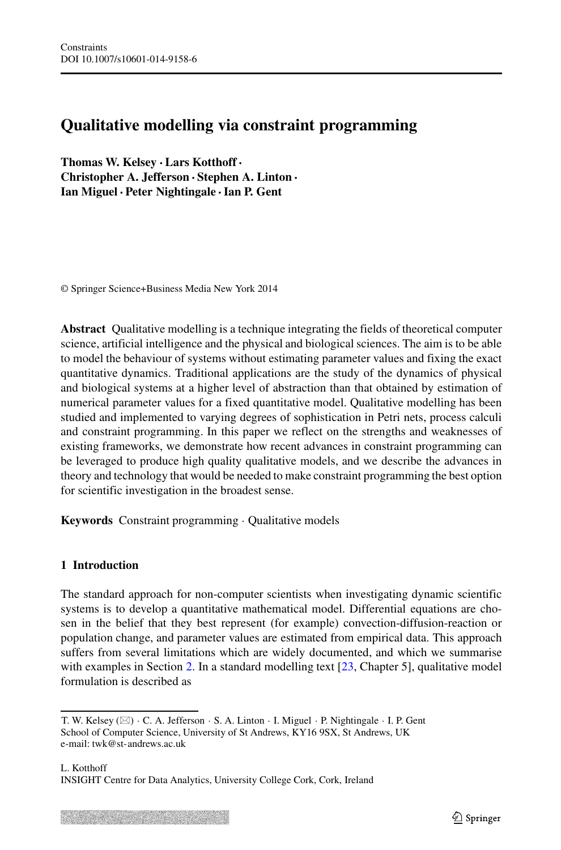# **Qualitative modelling via constraint programming**

**Thomas W. Kelsey ·Lars Kotthoff· Christopher A. Jefferson · Stephen A. Linton · Ian Miguel· Peter Nightingale ·Ian P. Gent**

© Springer Science+Business Media New York 2014

**Abstract** Qualitative modelling is a technique integrating the fields of theoretical computer science, artificial intelligence and the physical and biological sciences. The aim is to be able to model the behaviour of systems without estimating parameter values and fixing the exact quantitative dynamics. Traditional applications are the study of the dynamics of physical and biological systems at a higher level of abstraction than that obtained by estimation of numerical parameter values for a fixed quantitative model. Qualitative modelling has been studied and implemented to varying degrees of sophistication in Petri nets, process calculi and constraint programming. In this paper we reflect on the strengths and weaknesses of existing frameworks, we demonstrate how recent advances in constraint programming can be leveraged to produce high quality qualitative models, and we describe the advances in theory and technology that would be needed to make constraint programming the best option for scientific investigation in the broadest sense.

**Keywords** Constraint programming · Qualitative models

## **1 Introduction**

The standard approach for non-computer scientists when investigating dynamic scientific systems is to develop a quantitative mathematical model. Differential equations are chosen in the belief that they best represent (for example) convection-diffusion-reaction or population change, and parameter values are estimated from empirical data. This approach suffers from several limitations which are widely documented, and which we summarise with examples in Section [2.](#page-2-0) In a standard modelling text [\[23,](#page-9-0) Chapter 5], qualitative model formulation is described as

T. W. Kelsey ( $\boxtimes$ ) · C. A. Jefferson · S. A. Linton · I. Miguel · P. Nightingale · I. P. Gent School of Computer Science, University of St Andrews, KY16 9SX, St Andrews, UK e-mail: [twk@st-andrews.ac.uk](mailto:twk@st-andrews.ac.uk)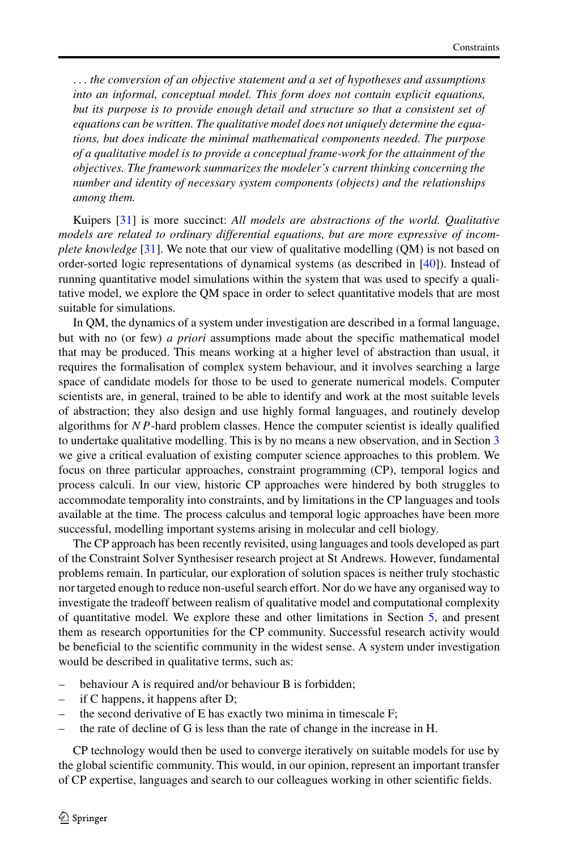*... the conversion of an objective statement and a set of hypotheses and assumptions into an informal, conceptual model. This form does not contain explicit equations, but its purpose is to provide enough detail and structure so that a consistent set of equations can be written. The qualitative model does not uniquely determine the equations, but does indicate the minimal mathematical components needed. The purpose of a qualitative model is to provide a conceptual frame-work for the attainment of the objectives. The framework summarizes the modeler's current thinking concerning the number and identity of necessary system components (objects) and the relationships among them.*

Kuipers [\[31\]](#page-10-0) is more succinct: *All models are abstractions of the world. Qualitative models are related to ordinary differential equations, but are more expressive of incomplete knowledge* [\[31\]](#page-10-0). We note that our view of qualitative modelling (QM) is not based on order-sorted logic representations of dynamical systems (as described in [\[40\]](#page-10-1)). Instead of running quantitative model simulations within the system that was used to specify a qualitative model, we explore the QM space in order to select quantitative models that are most suitable for simulations.

In QM, the dynamics of a system under investigation are described in a formal language, but with no (or few) *a priori* assumptions made about the specific mathematical model that may be produced. This means working at a higher level of abstraction than usual, it requires the formalisation of complex system behaviour, and it involves searching a large space of candidate models for those to be used to generate numerical models. Computer scientists are, in general, trained to be able to identify and work at the most suitable levels of abstraction; they also design and use highly formal languages, and routinely develop algorithms for *NP*-hard problem classes. Hence the computer scientist is ideally qualified to undertake qualitative modelling. This is by no means a new observation, and in Section [3](#page-3-0) we give a critical evaluation of existing computer science approaches to this problem. We focus on three particular approaches, constraint programming (CP), temporal logics and process calculi. In our view, historic CP approaches were hindered by both struggles to accommodate temporality into constraints, and by limitations in the CP languages and tools available at the time. The process calculus and temporal logic approaches have been more successful, modelling important systems arising in molecular and cell biology.

The CP approach has been recently revisited, using languages and tools developed as part of the Constraint Solver Synthesiser research project at St Andrews. However, fundamental problems remain. In particular, our exploration of solution spaces is neither truly stochastic nor targeted enough to reduce non-useful search effort. Nor do we have any organised way to investigate the tradeoff between realism of qualitative model and computational complexity of quantitative model. We explore these and other limitations in Section [5,](#page-4-0) and present them as research opportunities for the CP community. Successful research activity would be beneficial to the scientific community in the widest sense. A system under investigation would be described in qualitative terms, such as:

- behaviour A is required and/or behaviour B is forbidden;
- if C happens, it happens after D;
- the second derivative of E has exactly two minima in timescale F;
- the rate of decline of G is less than the rate of change in the increase in H.

CP technology would then be used to converge iteratively on suitable models for use by the global scientific community. This would, in our opinion, represent an important transfer of CP expertise, languages and search to our colleagues working in other scientific fields.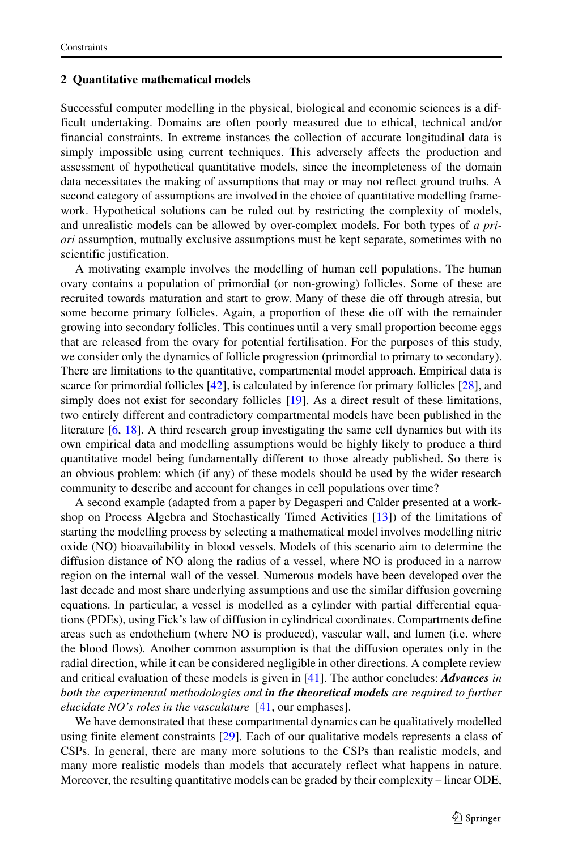#### <span id="page-2-0"></span>**2 Quantitative mathematical models**

Successful computer modelling in the physical, biological and economic sciences is a difficult undertaking. Domains are often poorly measured due to ethical, technical and/or financial constraints. In extreme instances the collection of accurate longitudinal data is simply impossible using current techniques. This adversely affects the production and assessment of hypothetical quantitative models, since the incompleteness of the domain data necessitates the making of assumptions that may or may not reflect ground truths. A second category of assumptions are involved in the choice of quantitative modelling framework. Hypothetical solutions can be ruled out by restricting the complexity of models, and unrealistic models can be allowed by over-complex models. For both types of *a priori* assumption, mutually exclusive assumptions must be kept separate, sometimes with no scientific justification.

A motivating example involves the modelling of human cell populations. The human ovary contains a population of primordial (or non-growing) follicles. Some of these are recruited towards maturation and start to grow. Many of these die off through atresia, but some become primary follicles. Again, a proportion of these die off with the remainder growing into secondary follicles. This continues until a very small proportion become eggs that are released from the ovary for potential fertilisation. For the purposes of this study, we consider only the dynamics of follicle progression (primordial to primary to secondary). There are limitations to the quantitative, compartmental model approach. Empirical data is scarce for primordial follicles [\[42\]](#page-10-2), is calculated by inference for primary follicles [\[28\]](#page-9-1), and simply does not exist for secondary follicles [\[19\]](#page-9-2). As a direct result of these limitations, two entirely different and contradictory compartmental models have been published in the literature [\[6,](#page-9-3) [18\]](#page-9-4). A third research group investigating the same cell dynamics but with its own empirical data and modelling assumptions would be highly likely to produce a third quantitative model being fundamentally different to those already published. So there is an obvious problem: which (if any) of these models should be used by the wider research community to describe and account for changes in cell populations over time?

A second example (adapted from a paper by Degasperi and Calder presented at a workshop on Process Algebra and Stochastically Timed Activities [\[13\]](#page-9-5)) of the limitations of starting the modelling process by selecting a mathematical model involves modelling nitric oxide (NO) bioavailability in blood vessels. Models of this scenario aim to determine the diffusion distance of NO along the radius of a vessel, where NO is produced in a narrow region on the internal wall of the vessel. Numerous models have been developed over the last decade and most share underlying assumptions and use the similar diffusion governing equations. In particular, a vessel is modelled as a cylinder with partial differential equations (PDEs), using Fick's law of diffusion in cylindrical coordinates. Compartments define areas such as endothelium (where NO is produced), vascular wall, and lumen (i.e. where the blood flows). Another common assumption is that the diffusion operates only in the radial direction, while it can be considered negligible in other directions. A complete review and critical evaluation of these models is given in [\[41\]](#page-10-3). The author concludes: *Advances in both the experimental methodologies and in the theoretical models are required to further elucidate NO's roles in the vasculature* [\[41,](#page-10-3) our emphases].

We have demonstrated that these compartmental dynamics can be qualitatively modelled using finite element constraints [\[29\]](#page-10-4). Each of our qualitative models represents a class of CSPs. In general, there are many more solutions to the CSPs than realistic models, and many more realistic models than models that accurately reflect what happens in nature. Moreover, the resulting quantitative models can be graded by their complexity – linear ODE,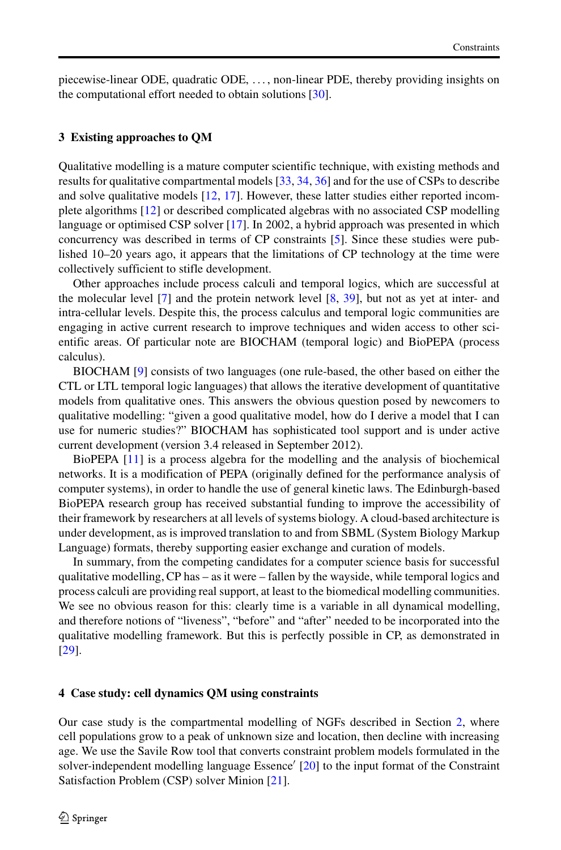piecewise-linear ODE, quadratic ODE, . . . , non-linear PDE, thereby providing insights on the computational effort needed to obtain solutions [\[30\]](#page-10-5).

## <span id="page-3-0"></span>**3 Existing approaches to QM**

Qualitative modelling is a mature computer scientific technique, with existing methods and results for qualitative compartmental models [\[33,](#page-10-6) [34,](#page-10-7) [36\]](#page-10-8) and for the use of CSPs to describe and solve qualitative models [\[12,](#page-9-6) [17\]](#page-9-7). However, these latter studies either reported incomplete algorithms [\[12\]](#page-9-6) or described complicated algebras with no associated CSP modelling language or optimised CSP solver [\[17\]](#page-9-7). In 2002, a hybrid approach was presented in which concurrency was described in terms of CP constraints [\[5\]](#page-9-8). Since these studies were published 10–20 years ago, it appears that the limitations of CP technology at the time were collectively sufficient to stifle development.

Other approaches include process calculi and temporal logics, which are successful at the molecular level [\[7\]](#page-9-9) and the protein network level [\[8,](#page-9-10) [39\]](#page-10-9), but not as yet at inter- and intra-cellular levels. Despite this, the process calculus and temporal logic communities are engaging in active current research to improve techniques and widen access to other scientific areas. Of particular note are BIOCHAM (temporal logic) and BioPEPA (process calculus).

BIOCHAM [\[9\]](#page-9-11) consists of two languages (one rule-based, the other based on either the CTL or LTL temporal logic languages) that allows the iterative development of quantitative models from qualitative ones. This answers the obvious question posed by newcomers to qualitative modelling: "given a good qualitative model, how do I derive a model that I can use for numeric studies?" BIOCHAM has sophisticated tool support and is under active current development (version 3.4 released in September 2012).

BioPEPA [\[11\]](#page-9-12) is a process algebra for the modelling and the analysis of biochemical networks. It is a modification of PEPA (originally defined for the performance analysis of computer systems), in order to handle the use of general kinetic laws. The Edinburgh-based BioPEPA research group has received substantial funding to improve the accessibility of their framework by researchers at all levels of systems biology. A cloud-based architecture is under development, as is improved translation to and from SBML (System Biology Markup Language) formats, thereby supporting easier exchange and curation of models.

In summary, from the competing candidates for a computer science basis for successful qualitative modelling, CP has – as it were – fallen by the wayside, while temporal logics and process calculi are providing real support, at least to the biomedical modelling communities. We see no obvious reason for this: clearly time is a variable in all dynamical modelling, and therefore notions of "liveness", "before" and "after" needed to be incorporated into the qualitative modelling framework. But this is perfectly possible in CP, as demonstrated in [\[29\]](#page-10-4).

#### **4 Case study: cell dynamics QM using constraints**

Our case study is the compartmental modelling of NGFs described in Section [2,](#page-2-0) where cell populations grow to a peak of unknown size and location, then decline with increasing age. We use the Savile Row tool that converts constraint problem models formulated in the solver-independent modelling language Essence' [\[20\]](#page-9-13) to the input format of the Constraint Satisfaction Problem (CSP) solver Minion [\[21\]](#page-9-14).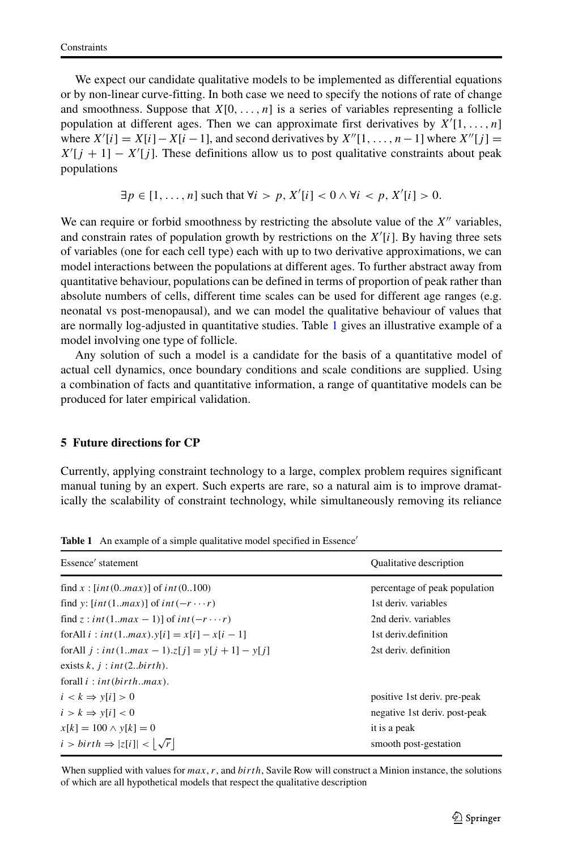We expect our candidate qualitative models to be implemented as differential equations or by non-linear curve-fitting. In both case we need to specify the notions of rate of change and smoothness. Suppose that  $X[0, \ldots, n]$  is a series of variables representing a follicle population at different ages. Then we can approximate first derivatives by  $X'[1, \ldots, n]$ where  $X'[i] = X[i] - X[i-1]$ , and second derivatives by  $X''[1, \ldots, n-1]$  where  $X''[j] =$  $X'[j + 1] - X'[j]$ . These definitions allow us to post qualitative constraints about peak populations

$$
\exists p \in [1, \ldots, n] \text{ such that } \forall i > p, X'[i] < 0 \land \forall i < p, X'[i] > 0.
$$

We can require or forbid smoothness by restricting the absolute value of the  $X''$  variables, and constrain rates of population growth by restrictions on the *X*- [*i*]. By having three sets of variables (one for each cell type) each with up to two derivative approximations, we can model interactions between the populations at different ages. To further abstract away from quantitative behaviour, populations can be defined in terms of proportion of peak rather than absolute numbers of cells, different time scales can be used for different age ranges (e.g. neonatal vs post-menopausal), and we can model the qualitative behaviour of values that are normally log-adjusted in quantitative studies. Table [1](#page-4-1) gives an illustrative example of a model involving one type of follicle.

Any solution of such a model is a candidate for the basis of a quantitative model of actual cell dynamics, once boundary conditions and scale conditions are supplied. Using a combination of facts and quantitative information, a range of quantitative models can be produced for later empirical validation.

### <span id="page-4-0"></span>**5 Future directions for CP**

Currently, applying constraint technology to a large, complex problem requires significant manual tuning by an expert. Such experts are rare, so a natural aim is to improve dramatically the scalability of constraint technology, while simultaneously removing its reliance

| Essence' statement                                             | Qualitative description       |
|----------------------------------------------------------------|-------------------------------|
| find x : $[int(0max)]$ of $int(0100)$                          | percentage of peak population |
| find y: [int(1max)] of int( $-r \cdots r$ )                    | 1st deriv. variables          |
| find z: int(1max - 1)] of int( $-r \cdots r$ )                 | 2nd deriv. variables          |
| for All $i : int(1, max)$ , $v[i] = x[i] - x[i - 1]$           | 1st deriv.definition          |
| for All $j: int(1 \dots max - 1) \cdot z[i] = y[i + 1] - y[i]$ | 2st deriv. definition         |
| exists $k$ , $j: int(2birth)$ .                                |                               |
| forall $i: int(birth \ldots max)$ .                            |                               |
| $i < k \Rightarrow v[i] > 0$                                   | positive 1st deriv. pre-peak  |
| $i > k \Rightarrow v[i] < 0$                                   | negative 1st deriv. post-peak |
| $x[k] = 100 \wedge y[k] = 0$                                   | it is a peak                  |
| $i > birth \Rightarrow  z[i]  <  \sqrt{r} $                    | smooth post-gestation         |

<span id="page-4-1"></span>Table 1 An example of a simple qualitative model specified in Essence'

When supplied with values for *max*, *r*, and *birth*, Savile Row will construct a Minion instance, the solutions of which are all hypothetical models that respect the qualitative description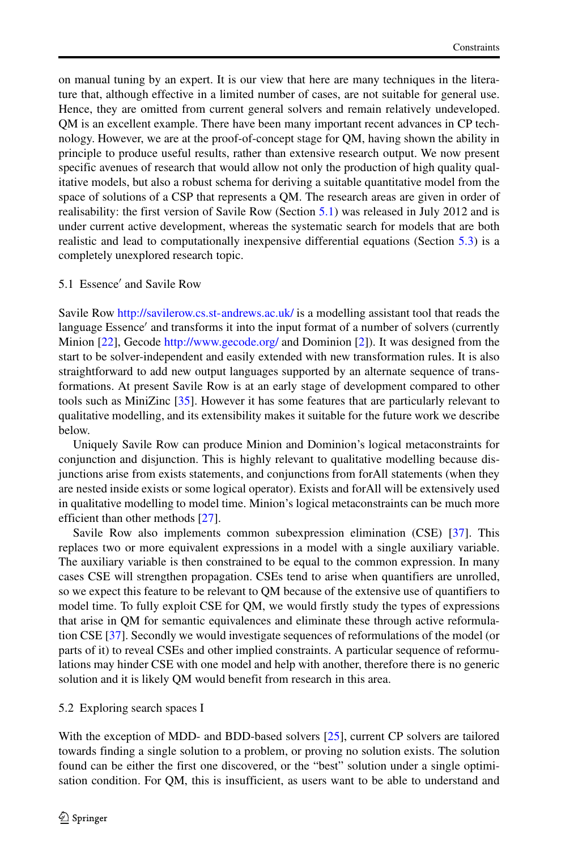on manual tuning by an expert. It is our view that here are many techniques in the literature that, although effective in a limited number of cases, are not suitable for general use. Hence, they are omitted from current general solvers and remain relatively undeveloped. QM is an excellent example. There have been many important recent advances in CP technology. However, we are at the proof-of-concept stage for QM, having shown the ability in principle to produce useful results, rather than extensive research output. We now present specific avenues of research that would allow not only the production of high quality qualitative models, but also a robust schema for deriving a suitable quantitative model from the space of solutions of a CSP that represents a QM. The research areas are given in order of realisability: the first version of Savile Row (Section [5.1\)](#page-5-0) was released in July 2012 and is under current active development, whereas the systematic search for models that are both realistic and lead to computationally inexpensive differential equations (Section [5.3\)](#page-6-0) is a completely unexplored research topic.

## <span id="page-5-0"></span>5.1 Essence' and Savile Row

Savile Row <http://savilerow.cs.st-andrews.ac.uk/> is a modelling assistant tool that reads the language Essence' and transforms it into the input format of a number of solvers (currently Minion [\[22\]](#page-9-15), Gecode <http://www.gecode.org/> and Dominion [\[2\]](#page-8-0)). It was designed from the start to be solver-independent and easily extended with new transformation rules. It is also straightforward to add new output languages supported by an alternate sequence of transformations. At present Savile Row is at an early stage of development compared to other tools such as MiniZinc [\[35\]](#page-10-10). However it has some features that are particularly relevant to qualitative modelling, and its extensibility makes it suitable for the future work we describe below.

Uniquely Savile Row can produce Minion and Dominion's logical metaconstraints for conjunction and disjunction. This is highly relevant to qualitative modelling because disjunctions arise from exists statements, and conjunctions from forAll statements (when they are nested inside exists or some logical operator). Exists and forAll will be extensively used in qualitative modelling to model time. Minion's logical metaconstraints can be much more efficient than other methods [\[27\]](#page-9-16).

Savile Row also implements common subexpression elimination (CSE) [\[37\]](#page-10-11). This replaces two or more equivalent expressions in a model with a single auxiliary variable. The auxiliary variable is then constrained to be equal to the common expression. In many cases CSE will strengthen propagation. CSEs tend to arise when quantifiers are unrolled, so we expect this feature to be relevant to QM because of the extensive use of quantifiers to model time. To fully exploit CSE for QM, we would firstly study the types of expressions that arise in QM for semantic equivalences and eliminate these through active reformulation CSE [\[37\]](#page-10-11). Secondly we would investigate sequences of reformulations of the model (or parts of it) to reveal CSEs and other implied constraints. A particular sequence of reformulations may hinder CSE with one model and help with another, therefore there is no generic solution and it is likely QM would benefit from research in this area.

#### <span id="page-5-1"></span>5.2 Exploring search spaces I

With the exception of MDD- and BDD-based solvers [\[25\]](#page-9-17), current CP solvers are tailored towards finding a single solution to a problem, or proving no solution exists. The solution found can be either the first one discovered, or the "best" solution under a single optimisation condition. For QM, this is insufficient, as users want to be able to understand and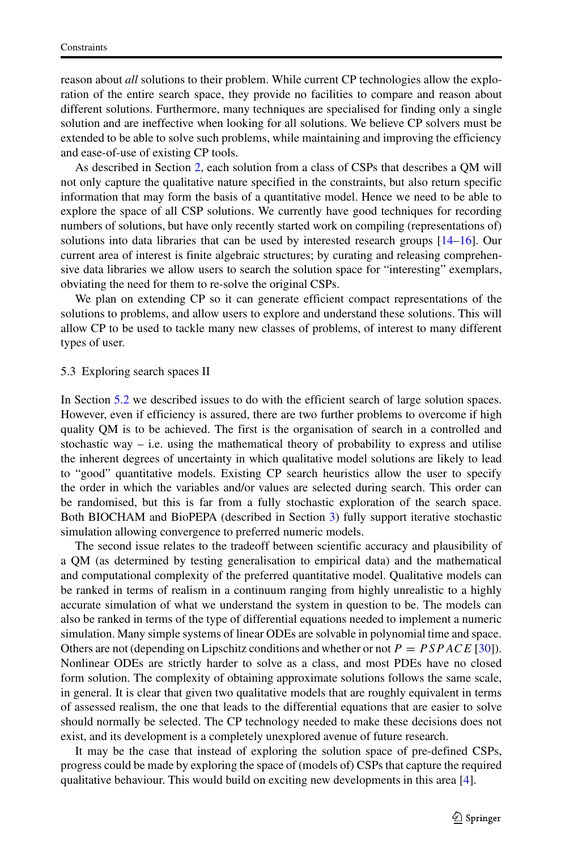reason about *all* solutions to their problem. While current CP technologies allow the exploration of the entire search space, they provide no facilities to compare and reason about different solutions. Furthermore, many techniques are specialised for finding only a single solution and are ineffective when looking for all solutions. We believe CP solvers must be extended to be able to solve such problems, while maintaining and improving the efficiency and ease-of-use of existing CP tools.

As described in Section [2,](#page-2-0) each solution from a class of CSPs that describes a QM will not only capture the qualitative nature specified in the constraints, but also return specific information that may form the basis of a quantitative model. Hence we need to be able to explore the space of all CSP solutions. We currently have good techniques for recording numbers of solutions, but have only recently started work on compiling (representations of) solutions into data libraries that can be used by interested research groups [\[14](#page-9-18)[–16\]](#page-9-19). Our current area of interest is finite algebraic structures; by curating and releasing comprehensive data libraries we allow users to search the solution space for "interesting" exemplars, obviating the need for them to re-solve the original CSPs.

We plan on extending CP so it can generate efficient compact representations of the solutions to problems, and allow users to explore and understand these solutions. This will allow CP to be used to tackle many new classes of problems, of interest to many different types of user.

#### <span id="page-6-0"></span>5.3 Exploring search spaces II

In Section [5.2](#page-5-1) we described issues to do with the efficient search of large solution spaces. However, even if efficiency is assured, there are two further problems to overcome if high quality QM is to be achieved. The first is the organisation of search in a controlled and stochastic way – i.e. using the mathematical theory of probability to express and utilise the inherent degrees of uncertainty in which qualitative model solutions are likely to lead to "good" quantitative models. Existing CP search heuristics allow the user to specify the order in which the variables and/or values are selected during search. This order can be randomised, but this is far from a fully stochastic exploration of the search space. Both BIOCHAM and BioPEPA (described in Section [3\)](#page-3-0) fully support iterative stochastic simulation allowing convergence to preferred numeric models.

The second issue relates to the tradeoff between scientific accuracy and plausibility of a QM (as determined by testing generalisation to empirical data) and the mathematical and computational complexity of the preferred quantitative model. Qualitative models can be ranked in terms of realism in a continuum ranging from highly unrealistic to a highly accurate simulation of what we understand the system in question to be. The models can also be ranked in terms of the type of differential equations needed to implement a numeric simulation. Many simple systems of linear ODEs are solvable in polynomial time and space. Others are not (depending on Lipschitz conditions and whether or not  $P = PSPACE$  [\[30\]](#page-10-5)). Nonlinear ODEs are strictly harder to solve as a class, and most PDEs have no closed form solution. The complexity of obtaining approximate solutions follows the same scale, in general. It is clear that given two qualitative models that are roughly equivalent in terms of assessed realism, the one that leads to the differential equations that are easier to solve should normally be selected. The CP technology needed to make these decisions does not exist, and its development is a completely unexplored avenue of future research.

It may be the case that instead of exploring the solution space of pre-defined CSPs, progress could be made by exploring the space of (models of) CSPs that capture the required qualitative behaviour. This would build on exciting new developments in this area [\[4\]](#page-9-20).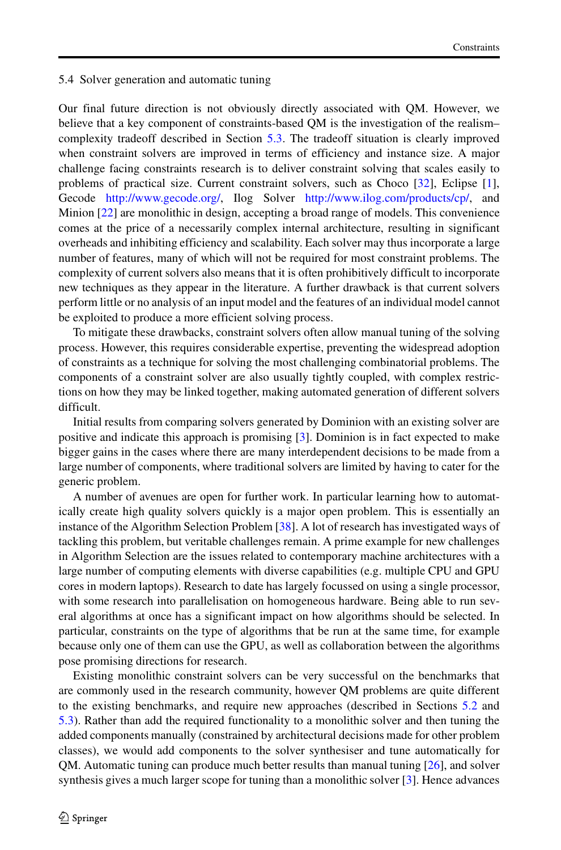#### 5.4 Solver generation and automatic tuning

Our final future direction is not obviously directly associated with QM. However, we believe that a key component of constraints-based QM is the investigation of the realism– complexity tradeoff described in Section [5.3.](#page-6-0) The tradeoff situation is clearly improved when constraint solvers are improved in terms of efficiency and instance size. A major challenge facing constraints research is to deliver constraint solving that scales easily to problems of practical size. Current constraint solvers, such as Choco [\[32\]](#page-10-12), Eclipse [\[1\]](#page-8-1), Gecode [http://www.gecode.org/,](http://www.gecode.org/) Ilog Solver [http://www.ilog.com/products/cp/,](http://www.ilog.com/products/cp/) and Minion [\[22\]](#page-9-15) are monolithic in design, accepting a broad range of models. This convenience comes at the price of a necessarily complex internal architecture, resulting in significant overheads and inhibiting efficiency and scalability. Each solver may thus incorporate a large number of features, many of which will not be required for most constraint problems. The complexity of current solvers also means that it is often prohibitively difficult to incorporate new techniques as they appear in the literature. A further drawback is that current solvers perform little or no analysis of an input model and the features of an individual model cannot be exploited to produce a more efficient solving process.

To mitigate these drawbacks, constraint solvers often allow manual tuning of the solving process. However, this requires considerable expertise, preventing the widespread adoption of constraints as a technique for solving the most challenging combinatorial problems. The components of a constraint solver are also usually tightly coupled, with complex restrictions on how they may be linked together, making automated generation of different solvers difficult.

Initial results from comparing solvers generated by Dominion with an existing solver are positive and indicate this approach is promising [\[3\]](#page-8-2). Dominion is in fact expected to make bigger gains in the cases where there are many interdependent decisions to be made from a large number of components, where traditional solvers are limited by having to cater for the generic problem.

A number of avenues are open for further work. In particular learning how to automatically create high quality solvers quickly is a major open problem. This is essentially an instance of the Algorithm Selection Problem [\[38\]](#page-10-13). A lot of research has investigated ways of tackling this problem, but veritable challenges remain. A prime example for new challenges in Algorithm Selection are the issues related to contemporary machine architectures with a large number of computing elements with diverse capabilities (e.g. multiple CPU and GPU cores in modern laptops). Research to date has largely focussed on using a single processor, with some research into parallelisation on homogeneous hardware. Being able to run several algorithms at once has a significant impact on how algorithms should be selected. In particular, constraints on the type of algorithms that be run at the same time, for example because only one of them can use the GPU, as well as collaboration between the algorithms pose promising directions for research.

Existing monolithic constraint solvers can be very successful on the benchmarks that are commonly used in the research community, however QM problems are quite different to the existing benchmarks, and require new approaches (described in Sections [5.2](#page-5-1) and [5.3\)](#page-6-0). Rather than add the required functionality to a monolithic solver and then tuning the added components manually (constrained by architectural decisions made for other problem classes), we would add components to the solver synthesiser and tune automatically for QM. Automatic tuning can produce much better results than manual tuning [\[26\]](#page-9-21), and solver synthesis gives a much larger scope for tuning than a monolithic solver [\[3\]](#page-8-2). Hence advances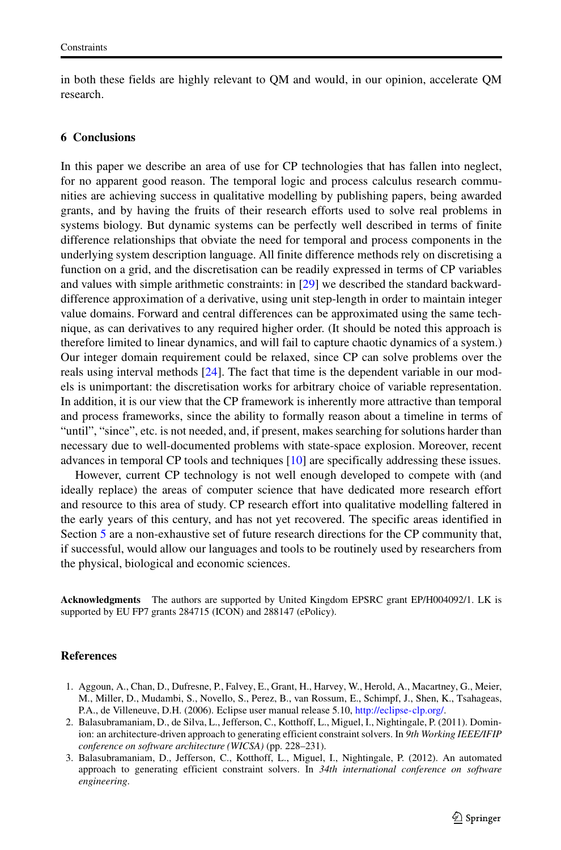in both these fields are highly relevant to QM and would, in our opinion, accelerate QM research.

## **6 Conclusions**

In this paper we describe an area of use for CP technologies that has fallen into neglect, for no apparent good reason. The temporal logic and process calculus research communities are achieving success in qualitative modelling by publishing papers, being awarded grants, and by having the fruits of their research efforts used to solve real problems in systems biology. But dynamic systems can be perfectly well described in terms of finite difference relationships that obviate the need for temporal and process components in the underlying system description language. All finite difference methods rely on discretising a function on a grid, and the discretisation can be readily expressed in terms of CP variables and values with simple arithmetic constraints: in [\[29\]](#page-10-4) we described the standard backwarddifference approximation of a derivative, using unit step-length in order to maintain integer value domains. Forward and central differences can be approximated using the same technique, as can derivatives to any required higher order. (It should be noted this approach is therefore limited to linear dynamics, and will fail to capture chaotic dynamics of a system.) Our integer domain requirement could be relaxed, since CP can solve problems over the reals using interval methods [\[24\]](#page-9-22). The fact that time is the dependent variable in our models is unimportant: the discretisation works for arbitrary choice of variable representation. In addition, it is our view that the CP framework is inherently more attractive than temporal and process frameworks, since the ability to formally reason about a timeline in terms of "until", "since", etc. is not needed, and, if present, makes searching for solutions harder than necessary due to well-documented problems with state-space explosion. Moreover, recent advances in temporal CP tools and techniques [\[10\]](#page-9-23) are specifically addressing these issues.

However, current CP technology is not well enough developed to compete with (and ideally replace) the areas of computer science that have dedicated more research effort and resource to this area of study. CP research effort into qualitative modelling faltered in the early years of this century, and has not yet recovered. The specific areas identified in Section [5](#page-4-0) are a non-exhaustive set of future research directions for the CP community that, if successful, would allow our languages and tools to be routinely used by researchers from the physical, biological and economic sciences.

**Acknowledgments** The authors are supported by United Kingdom EPSRC grant EP/H004092/1. LK is supported by EU FP7 grants 284715 (ICON) and 288147 (ePolicy).

## **References**

- <span id="page-8-1"></span>1. Aggoun, A., Chan, D., Dufresne, P., Falvey, E., Grant, H., Harvey, W., Herold, A., Macartney, G., Meier, M., Miller, D., Mudambi, S., Novello, S., Perez, B., van Rossum, E., Schimpf, J., Shen, K., Tsahageas, P.A., de Villeneuve, D.H. (2006). Eclipse user manual release 5.10, [http://eclipse-clp.org/.](http://eclipse-clp.org/)
- <span id="page-8-0"></span>2. Balasubramaniam, D., de Silva, L., Jefferson, C., Kotthoff, L., Miguel, I., Nightingale, P. (2011). Dominion: an architecture-driven approach to generating efficient constraint solvers. In *9th Working IEEE/IFIP conference on software architecture (WICSA)* (pp. 228–231).
- <span id="page-8-2"></span>3. Balasubramaniam, D., Jefferson, C., Kotthoff, L., Miguel, I., Nightingale, P. (2012). An automated approach to generating efficient constraint solvers. In *34th international conference on software engineering*.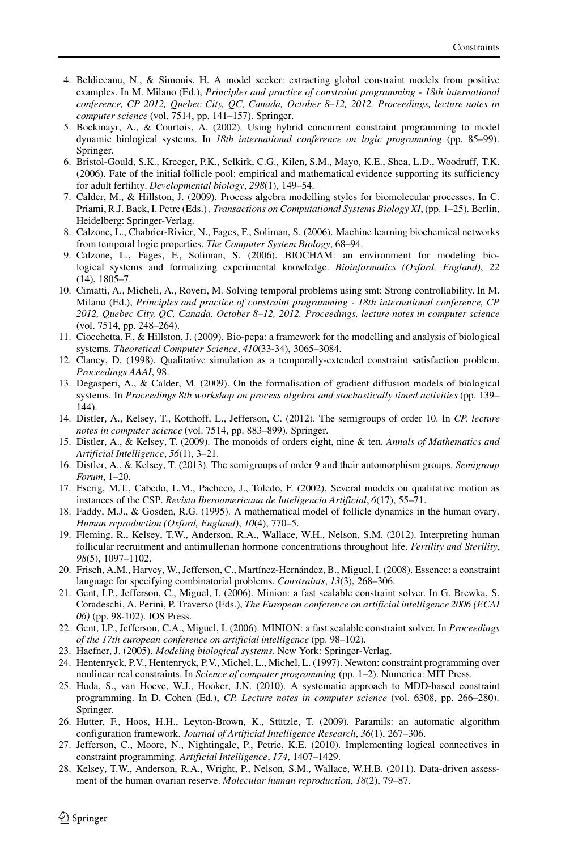- <span id="page-9-20"></span>4. Beldiceanu, N., & Simonis, H. A model seeker: extracting global constraint models from positive examples. In M. Milano (Ed.), *Principles and practice of constraint programming - 18th international conference, CP 2012, Quebec City, QC, Canada, October 8–12, 2012. Proceedings, lecture notes in computer science* (vol. 7514, pp. 141–157). Springer.
- <span id="page-9-8"></span>5. Bockmayr, A., & Courtois, A. (2002). Using hybrid concurrent constraint programming to model dynamic biological systems. In *18th international conference on logic programming* (pp. 85–99). Springer.
- <span id="page-9-3"></span>6. Bristol-Gould, S.K., Kreeger, P.K., Selkirk, C.G., Kilen, S.M., Mayo, K.E., Shea, L.D., Woodruff, T.K. (2006). Fate of the initial follicle pool: empirical and mathematical evidence supporting its sufficiency for adult fertility. *Developmental biology*, *298*(1), 149–54.
- <span id="page-9-9"></span>7. Calder, M., & Hillston, J. (2009). Process algebra modelling styles for biomolecular processes. In C. Priami, R.J. Back, I. Petre (Eds.) *, Transactions on Computational Systems Biology XI*, (pp. 1–25). Berlin, Heidelberg: Springer-Verlag.
- <span id="page-9-10"></span>8. Calzone, L., Chabrier-Rivier, N., Fages, F., Soliman, S. (2006). Machine learning biochemical networks from temporal logic properties. *The Computer System Biology*, 68–94.
- <span id="page-9-11"></span>9. Calzone, L., Fages, F., Soliman, S. (2006). BIOCHAM: an environment for modeling biological systems and formalizing experimental knowledge. *Bioinformatics (Oxford, England)*, *22* (14), 1805–7.
- <span id="page-9-23"></span>10. Cimatti, A., Micheli, A., Roveri, M. Solving temporal problems using smt: Strong controllability. In M. Milano (Ed.), *Principles and practice of constraint programming - 18th international conference, CP 2012, Quebec City, QC, Canada, October 8–12, 2012. Proceedings, lecture notes in computer science* (vol. 7514, pp. 248–264).
- <span id="page-9-12"></span>11. Ciocchetta, F., & Hillston, J. (2009). Bio-pepa: a framework for the modelling and analysis of biological systems. *Theoretical Computer Science*, *410*(33-34), 3065–3084.
- <span id="page-9-6"></span>12. Clancy, D. (1998). Qualitative simulation as a temporally-extended constraint satisfaction problem. *Proceedings AAAI*, 98.
- <span id="page-9-5"></span>13. Degasperi, A., & Calder, M. (2009). On the formalisation of gradient diffusion models of biological systems. In *Proceedings 8th workshop on process algebra and stochastically timed activities* (pp. 139– 144).
- <span id="page-9-18"></span>14. Distler, A., Kelsey, T., Kotthoff, L., Jefferson, C. (2012). The semigroups of order 10. In *CP. lecture notes in computer science* (vol. 7514, pp. 883–899). Springer.
- 15. Distler, A., & Kelsey, T. (2009). The monoids of orders eight, nine & ten. *Annals of Mathematics and Artificial Intelligence*, *56*(1), 3–21.
- <span id="page-9-19"></span>16. Distler, A., & Kelsey, T. (2013). The semigroups of order 9 and their automorphism groups. *Semigroup Forum*, 1–20.
- <span id="page-9-7"></span>17. Escrig, M.T., Cabedo, L.M., Pacheco, J., Toledo, F. (2002). Several models on qualitative motion as instances of the CSP. *Revista Iberoamericana de Inteligencia Artificial*, *6*(17), 55–71.
- <span id="page-9-4"></span>18. Faddy, M.J., & Gosden, R.G. (1995). A mathematical model of follicle dynamics in the human ovary. *Human reproduction (Oxford, England)*, *10*(4), 770–5.
- <span id="page-9-2"></span>19. Fleming, R., Kelsey, T.W., Anderson, R.A., Wallace, W.H., Nelson, S.M. (2012). Interpreting human follicular recruitment and antimullerian hormone concentrations throughout life. *Fertility and Sterility*, *98*(5), 1097–1102.
- <span id="page-9-13"></span>20. Frisch, A.M., Harvey, W., Jefferson, C., Mart´ınez-Hern´andez, B., Miguel, I. (2008). Essence: a constraint language for specifying combinatorial problems. *Constraints*, *13*(3), 268–306.
- <span id="page-9-14"></span>21. Gent, I.P., Jefferson, C., Miguel, I. (2006). Minion: a fast scalable constraint solver. In G. Brewka, S. Coradeschi, A. Perini, P. Traverso (Eds.), *The European conference on artificial intelligence 2006 (ECAI 06)* (pp. 98-102). IOS Press.
- <span id="page-9-15"></span>22. Gent, I.P., Jefferson, C.A., Miguel, I. (2006). MINION: a fast scalable constraint solver. In *Proceedings of the 17th european conference on artificial intelligence* (pp. 98–102).
- <span id="page-9-0"></span>23. Haefner, J. (2005). *Modeling biological systems*. New York: Springer-Verlag.
- <span id="page-9-22"></span>24. Hentenryck, P.V., Hentenryck, P.V., Michel, L., Michel, L. (1997). Newton: constraint programming over nonlinear real constraints. In *Science of computer programming* (pp. 1–2). Numerica: MIT Press.
- <span id="page-9-17"></span>25. Hoda, S., van Hoeve, W.J., Hooker, J.N. (2010). A systematic approach to MDD-based constraint programming. In D. Cohen (Ed.), *CP. Lecture notes in computer science* (vol. 6308, pp. 266–280). Springer.
- <span id="page-9-21"></span>26. Hutter, F., Hoos, H.H., Leyton-Brown, K., Stützle, T. (2009). Paramils: an automatic algorithm configuration framework. *Journal of Artificial Intelligence Research*, *36*(1), 267–306.
- <span id="page-9-16"></span>27. Jefferson, C., Moore, N., Nightingale, P., Petrie, K.E. (2010). Implementing logical connectives in constraint programming. *Artificial Intelligence*, *174*, 1407–1429.
- <span id="page-9-1"></span>28. Kelsey, T.W., Anderson, R.A., Wright, P., Nelson, S.M., Wallace, W.H.B. (2011). Data-driven assessment of the human ovarian reserve. *Molecular human reproduction*, *18*(2), 79–87.